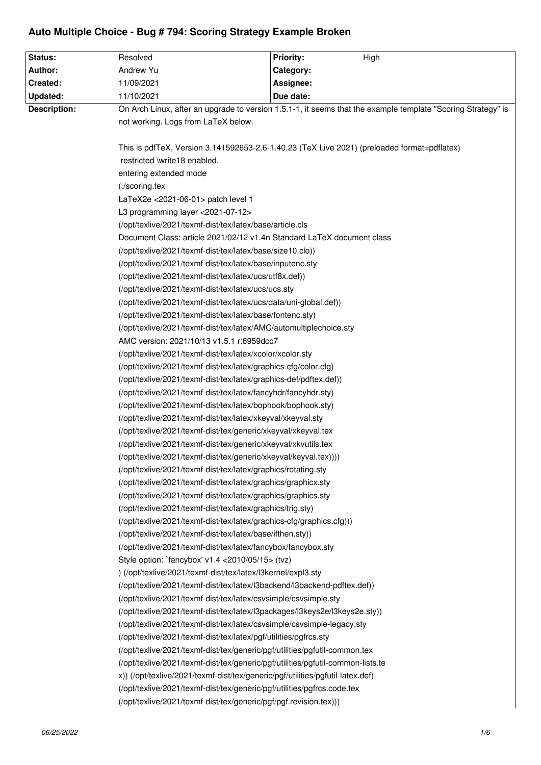## **Auto Multiple Choice - Bug # 794: Scoring Strategy Example Broken**

| <b>Status:</b>                                                                                                                                          | Resolved                                                                                                                                                                                                                                                                                                                                                                                                                                             | <b>Priority:</b><br>High |  |
|---------------------------------------------------------------------------------------------------------------------------------------------------------|------------------------------------------------------------------------------------------------------------------------------------------------------------------------------------------------------------------------------------------------------------------------------------------------------------------------------------------------------------------------------------------------------------------------------------------------------|--------------------------|--|
| Author:                                                                                                                                                 | Andrew Yu                                                                                                                                                                                                                                                                                                                                                                                                                                            | Category:                |  |
| Created:                                                                                                                                                | 11/09/2021                                                                                                                                                                                                                                                                                                                                                                                                                                           | Assignee:                |  |
| Updated:                                                                                                                                                | 11/10/2021                                                                                                                                                                                                                                                                                                                                                                                                                                           | Due date:                |  |
| <b>Description:</b>                                                                                                                                     | On Arch Linux, after an upgrade to version 1.5.1-1, it seems that the example template "Scoring Strategy" is                                                                                                                                                                                                                                                                                                                                         |                          |  |
|                                                                                                                                                         | not working. Logs from LaTeX below.                                                                                                                                                                                                                                                                                                                                                                                                                  |                          |  |
|                                                                                                                                                         |                                                                                                                                                                                                                                                                                                                                                                                                                                                      |                          |  |
|                                                                                                                                                         | This is pdfTeX, Version 3.141592653-2.6-1.40.23 (TeX Live 2021) (preloaded format=pdflatex)                                                                                                                                                                                                                                                                                                                                                          |                          |  |
| restricted \write18 enabled.                                                                                                                            |                                                                                                                                                                                                                                                                                                                                                                                                                                                      |                          |  |
|                                                                                                                                                         | entering extended mode                                                                                                                                                                                                                                                                                                                                                                                                                               |                          |  |
| (./scoring.tex<br>LaTeX2e < 2021-06-01 > patch level 1<br>L3 programming layer <2021-07-12><br>(/opt/texlive/2021/texmf-dist/tex/latex/base/article.cls |                                                                                                                                                                                                                                                                                                                                                                                                                                                      |                          |  |
|                                                                                                                                                         |                                                                                                                                                                                                                                                                                                                                                                                                                                                      |                          |  |
|                                                                                                                                                         |                                                                                                                                                                                                                                                                                                                                                                                                                                                      |                          |  |
|                                                                                                                                                         |                                                                                                                                                                                                                                                                                                                                                                                                                                                      |                          |  |
|                                                                                                                                                         | Document Class: article 2021/02/12 v1.4n Standard LaTeX document class<br>(/opt/texlive/2021/texmf-dist/tex/latex/base/size10.clo))<br>(/opt/texlive/2021/texmf-dist/tex/latex/base/inputenc.sty<br>(/opt/texlive/2021/texmf-dist/tex/latex/ucs/utf8x.def))<br>(/opt/texlive/2021/texmf-dist/tex/latex/ucs/ucs.sty<br>(/opt/texlive/2021/texmf-dist/tex/latex/ucs/data/uni-global.def))<br>(/opt/texlive/2021/texmf-dist/tex/latex/base/fontenc.sty) |                          |  |
|                                                                                                                                                         |                                                                                                                                                                                                                                                                                                                                                                                                                                                      |                          |  |
|                                                                                                                                                         |                                                                                                                                                                                                                                                                                                                                                                                                                                                      |                          |  |
|                                                                                                                                                         |                                                                                                                                                                                                                                                                                                                                                                                                                                                      |                          |  |
|                                                                                                                                                         |                                                                                                                                                                                                                                                                                                                                                                                                                                                      |                          |  |
|                                                                                                                                                         |                                                                                                                                                                                                                                                                                                                                                                                                                                                      |                          |  |
|                                                                                                                                                         |                                                                                                                                                                                                                                                                                                                                                                                                                                                      |                          |  |
|                                                                                                                                                         | (/opt/texlive/2021/texmf-dist/tex/latex/AMC/automultiplechoice.sty                                                                                                                                                                                                                                                                                                                                                                                   |                          |  |
|                                                                                                                                                         | AMC version: 2021/10/13 v1.5.1 r:6959dcc7                                                                                                                                                                                                                                                                                                                                                                                                            |                          |  |
|                                                                                                                                                         | (/opt/texlive/2021/texmf-dist/tex/latex/xcolor/xcolor.sty                                                                                                                                                                                                                                                                                                                                                                                            |                          |  |
|                                                                                                                                                         | (/opt/texlive/2021/texmf-dist/tex/latex/graphics-cfg/color.cfg)                                                                                                                                                                                                                                                                                                                                                                                      |                          |  |
|                                                                                                                                                         | (/opt/texlive/2021/texmf-dist/tex/latex/graphics-def/pdftex.def))                                                                                                                                                                                                                                                                                                                                                                                    |                          |  |
|                                                                                                                                                         | (/opt/texlive/2021/texmf-dist/tex/latex/fancyhdr/fancyhdr.sty)                                                                                                                                                                                                                                                                                                                                                                                       |                          |  |
|                                                                                                                                                         | (/opt/texlive/2021/texmf-dist/tex/latex/bophook/bophook.sty)                                                                                                                                                                                                                                                                                                                                                                                         |                          |  |
|                                                                                                                                                         | (/opt/texlive/2021/texmf-dist/tex/latex/xkeyval/xkeyval.sty                                                                                                                                                                                                                                                                                                                                                                                          |                          |  |
|                                                                                                                                                         | (/opt/texlive/2021/texmf-dist/tex/generic/xkeyval/xkeyval.tex                                                                                                                                                                                                                                                                                                                                                                                        |                          |  |
|                                                                                                                                                         | (/opt/texlive/2021/texmf-dist/tex/generic/xkeyval/xkvutils.tex                                                                                                                                                                                                                                                                                                                                                                                       |                          |  |
|                                                                                                                                                         | (/opt/texlive/2021/texmf-dist/tex/generic/xkeyval/keyval.tex))))                                                                                                                                                                                                                                                                                                                                                                                     |                          |  |
|                                                                                                                                                         | (/opt/texlive/2021/texmf-dist/tex/latex/graphics/rotating.sty                                                                                                                                                                                                                                                                                                                                                                                        |                          |  |
|                                                                                                                                                         | (/opt/texlive/2021/texmf-dist/tex/latex/graphics/graphicx.sty                                                                                                                                                                                                                                                                                                                                                                                        |                          |  |
|                                                                                                                                                         | (/opt/texlive/2021/texmf-dist/tex/latex/graphics/graphics.sty                                                                                                                                                                                                                                                                                                                                                                                        |                          |  |
|                                                                                                                                                         | (/opt/texlive/2021/texmf-dist/tex/latex/graphics/trig.sty)                                                                                                                                                                                                                                                                                                                                                                                           |                          |  |
|                                                                                                                                                         | (/opt/texlive/2021/texmf-dist/tex/latex/graphics-cfg/graphics.cfg)))                                                                                                                                                                                                                                                                                                                                                                                 |                          |  |
|                                                                                                                                                         | (/opt/texlive/2021/texmf-dist/tex/latex/base/ifthen.sty))                                                                                                                                                                                                                                                                                                                                                                                            |                          |  |
|                                                                                                                                                         | (/opt/texlive/2021/texmf-dist/tex/latex/fancybox/fancybox.sty                                                                                                                                                                                                                                                                                                                                                                                        |                          |  |
|                                                                                                                                                         | Style option: `fancybox' v1.4 < 2010/05/15 > (tvz)                                                                                                                                                                                                                                                                                                                                                                                                   |                          |  |
|                                                                                                                                                         | ) (/opt/texlive/2021/texmf-dist/tex/latex/l3kernel/expl3.sty                                                                                                                                                                                                                                                                                                                                                                                         |                          |  |
|                                                                                                                                                         | (/opt/texlive/2021/texmf-dist/tex/latex/l3backend/l3backend-pdftex.def))                                                                                                                                                                                                                                                                                                                                                                             |                          |  |
|                                                                                                                                                         | (/opt/texlive/2021/texmf-dist/tex/latex/csvsimple/csvsimple.sty                                                                                                                                                                                                                                                                                                                                                                                      |                          |  |
|                                                                                                                                                         | (/opt/texlive/2021/texmf-dist/tex/latex/l3packages/l3keys2e/l3keys2e.sty))                                                                                                                                                                                                                                                                                                                                                                           |                          |  |
|                                                                                                                                                         | (/opt/texlive/2021/texmf-dist/tex/latex/csvsimple/csvsimple-legacy.sty                                                                                                                                                                                                                                                                                                                                                                               |                          |  |
|                                                                                                                                                         | (/opt/texlive/2021/texmf-dist/tex/latex/pgf/utilities/pgfrcs.sty                                                                                                                                                                                                                                                                                                                                                                                     |                          |  |
|                                                                                                                                                         | (/opt/texlive/2021/texmf-dist/tex/generic/pgf/utilities/pgfutil-common.tex                                                                                                                                                                                                                                                                                                                                                                           |                          |  |
|                                                                                                                                                         | (/opt/texlive/2021/texmf-dist/tex/generic/pgf/utilities/pgfutil-common-lists.te                                                                                                                                                                                                                                                                                                                                                                      |                          |  |
|                                                                                                                                                         | x)) (/opt/texlive/2021/texmf-dist/tex/generic/pgf/utilities/pgfutil-latex.def)                                                                                                                                                                                                                                                                                                                                                                       |                          |  |
|                                                                                                                                                         | (/opt/texlive/2021/texmf-dist/tex/generic/pgf/utilities/pgfrcs.code.tex                                                                                                                                                                                                                                                                                                                                                                              |                          |  |
|                                                                                                                                                         | (/opt/texlive/2021/texmf-dist/tex/generic/pgf/pgf.revision.tex)))                                                                                                                                                                                                                                                                                                                                                                                    |                          |  |
|                                                                                                                                                         |                                                                                                                                                                                                                                                                                                                                                                                                                                                      |                          |  |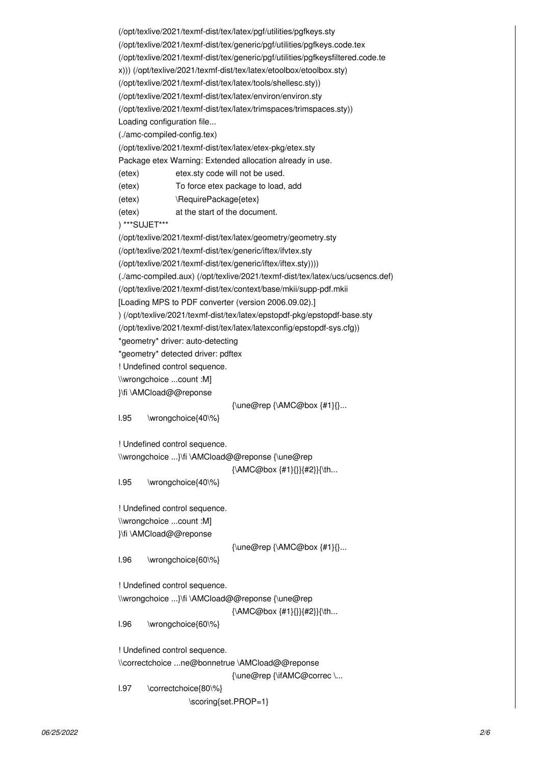```
(/opt/texlive/2021/texmf-dist/tex/latex/pgf/utilities/pgfkeys.sty
(/opt/texlive/2021/texmf-dist/tex/generic/pgf/utilities/pgfkeys.code.tex
(/opt/texlive/2021/texmf-dist/tex/generic/pgf/utilities/pgfkeysfiltered.code.te
x))) (/opt/texlive/2021/texmf-dist/tex/latex/etoolbox/etoolbox.sty)
(/opt/texlive/2021/texmf-dist/tex/latex/tools/shellesc.sty))
(/opt/texlive/2021/texmf-dist/tex/latex/environ/environ.sty
(/opt/texlive/2021/texmf-dist/tex/latex/trimspaces/trimspaces.sty))
Loading configuration file...
(./amc-compiled-config.tex)
(/opt/texlive/2021/texmf-dist/tex/latex/etex-pkg/etex.sty
Package etex Warning: Extended allocation already in use.
(etex) etex.sty code will not be used.
(etex) To force etex package to load, add
(etex) \RequirePackage{etex}
(etex) at the start of the document.
) ***SUJET***
(/opt/texlive/2021/texmf-dist/tex/latex/geometry/geometry.sty
(/opt/texlive/2021/texmf-dist/tex/generic/iftex/ifvtex.sty
(/opt/texlive/2021/texmf-dist/tex/generic/iftex/iftex.sty))))
(./amc-compiled.aux) (/opt/texlive/2021/texmf-dist/tex/latex/ucs/ucsencs.def)
(/opt/texlive/2021/texmf-dist/tex/context/base/mkii/supp-pdf.mkii
[Loading MPS to PDF converter (version 2006.09.02).]
) (/opt/texlive/2021/texmf-dist/tex/latex/epstopdf-pkg/epstopdf-base.sty
(/opt/texlive/2021/texmf-dist/tex/latex/latexconfig/epstopdf-sys.cfg))
*geometry* driver: auto-detecting
*geometry* detected driver: pdftex
! Undefined control sequence.
\\wrongchoice ...count :M]
}\fi \AMCload@@reponse 
                                {\une@rep {\AMC@box {#1}{}...
l.95 \wrongchoice{40\%}
! Undefined control sequence.
\\wrongchoice ...}\fi \AMCload@@reponse {\une@rep
                                {\AMC@box {#1}{}}{#2}}{\th...
l.95 \wrongchoice{40\%}
! Undefined control sequence.
\\wrongchoice ...count :M]
}\fi \AMCload@@reponse 
                                {\une@rep {\AMC@box {#1}{}...
l.96 \wrongchoice{60\%}
! Undefined control sequence.
\\wrongchoice ...}\fi \AMCload@@reponse {\une@rep
                                {\AMC@box {#1}{}}{#2}}{\th...
l.96 \wrongchoice{60\%}
! Undefined control sequence.
\\correctchoice ...ne@bonnetrue \AMCload@@reponse
                                {\une@rep {\ifAMC@correc \...
l.97 \correctchoice{80\%}
                    \scoring{set.PROP=1}
```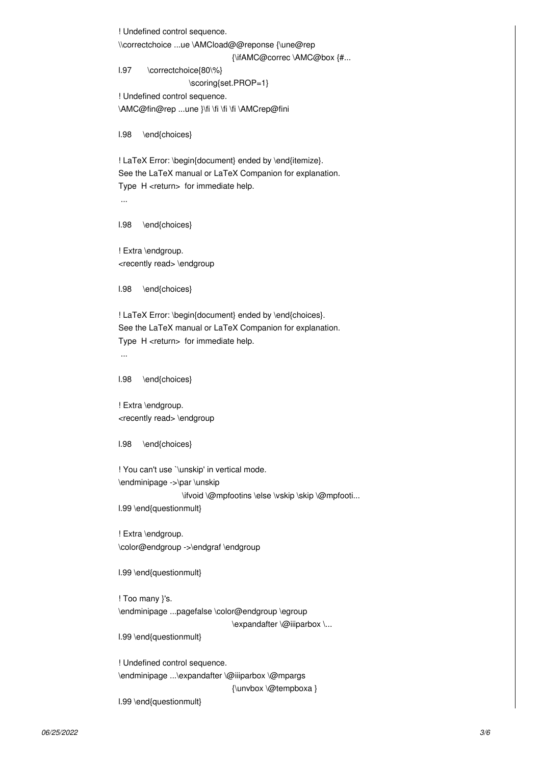! Undefined control sequence. \\correctchoice ...ue \AMCload@@reponse {\une@rep {\ifAMC@correc \AMC@box {#... l.97 \correctchoice{80\%} \scoring{set.PROP=1} ! Undefined control sequence. \AMC@fin@rep ...une }\fi \fi \fi \fi \AMCrep@fini l.98 \end{choices} ! LaTeX Error: \begin{document} ended by \end{itemize}. See the LaTeX manual or LaTeX Companion for explanation. Type H <return> for immediate help. ... l.98 \end{choices} ! Extra \endgroup. <recently read> \endgroup l.98 \end{choices} ! LaTeX Error: \begin{document} ended by \end{choices}. See the LaTeX manual or LaTeX Companion for explanation. Type H <return> for immediate help. ... l.98 \end{choices} ! Extra \endgroup. <recently read> \endgroup

l.98 \end{choices}

! You can't use `\unskip' in vertical mode. \endminipage ->\par \unskip \ifvoid \@mpfootins \else \vskip \skip \@mpfooti... l.99 \end{questionmult}

! Extra \endgroup. \color@endgroup ->\endgraf \endgroup

l.99 \end{questionmult}

! Too many }'s. \endminipage ...pagefalse \color@endgroup \egroup \expandafter \@iiiparbox \...

l.99 \end{questionmult}

! Undefined control sequence. \endminipage ...\expandafter \@iiiparbox \@mpargs {\unvbox \@tempboxa } l.99 \end{questionmult}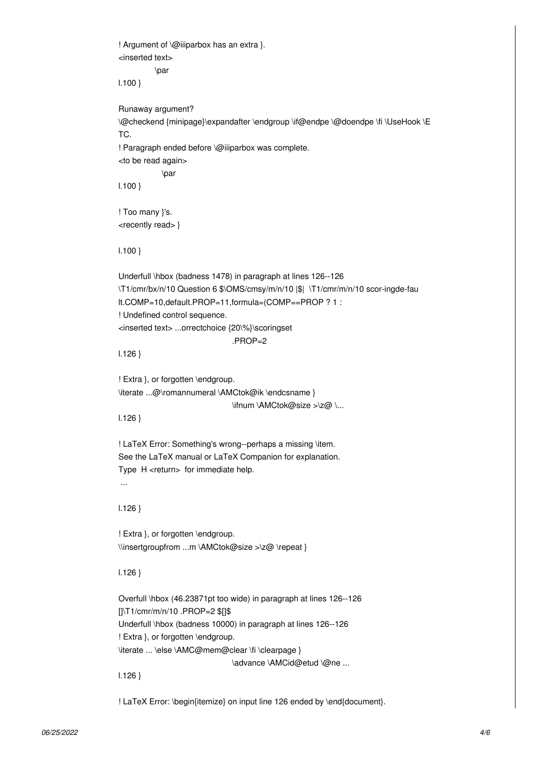! Argument of \@iiiparbox has an extra }. <inserted text> \par l.100 } Runaway argument? \@checkend {minipage}\expandafter \endgroup \if@endpe \@doendpe \fi \UseHook \E TC. ! Paragraph ended before \@iiiparbox was complete. <to be read again> \par l.100 } ! Too many }'s. <recently read> } l.100 } Underfull \hbox (badness 1478) in paragraph at lines 126--126 \T1/cmr/bx/n/10 Question 6 \$\OMS/cmsy/m/n/10 |\$| \T1/cmr/m/n/10 scor-ingde-fau lt.COMP=10,default.PROP=11,formula=(COMP==PROP ? 1 : ! Undefined control sequence. <inserted text> ...orrectchoice {20\%}\scoringset .PROP=2 l.126 } ! Extra }, or forgotten \endgroup. \iterate ...@\romannumeral \AMCtok@ik \endcsname } \ifnum \AMCtok@size >\z@ \... l.126 } ! LaTeX Error: Something's wrong--perhaps a missing \item. See the LaTeX manual or LaTeX Companion for explanation. Type H <return> for immediate help. ... l.126 } ! Extra }, or forgotten \endgroup. \\insertgroupfrom ...m \AMCtok@size >\z@ \repeat } l.126 } Overfull \hbox (46.23871pt too wide) in paragraph at lines 126--126 []\T1/cmr/m/n/10 .PROP=2 \$[]\$ Underfull \hbox (badness 10000) in paragraph at lines 126--126 ! Extra }, or forgotten \endgroup. \iterate ... \else \AMC@mem@clear \fi \clearpage } \advance \AMCid@etud \@ne ... l.126 } ! LaTeX Error: \begin{itemize} on input line 126 ended by \end{document}.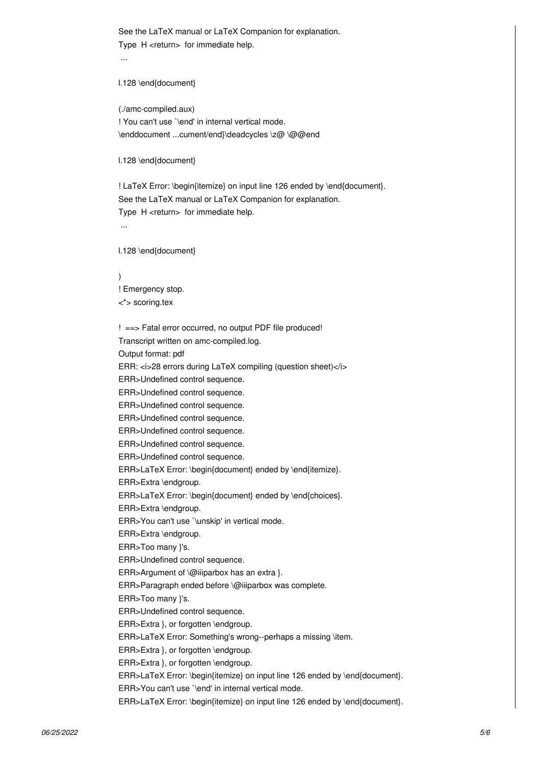See the LaTeX manual or LaTeX Companion for explanation. Type H <return> for immediate help.

...

l.128 \end{document}

(./amc-compiled.aux) ! You can't use `\end' in internal vertical mode. \enddocument ...cument/end}\deadcycles \z@ \@@end

l.128 \end{document}

! LaTeX Error: \begin{itemize} on input line 126 ended by \end{document}. See the LaTeX manual or LaTeX Companion for explanation. Type H <return> for immediate help. ...

l.128 \end{document}

) ! Emergency stop. <\*> scoring.tex

! ==> Fatal error occurred, no output PDF file produced! Transcript written on amc-compiled.log. Output format: pdf ERR: <i>28 errors during LaTeX compiling (question sheet)</i> ERR>Undefined control sequence. ERR>Undefined control sequence. ERR>Undefined control sequence. ERR>Undefined control sequence. ERR>Undefined control sequence. ERR>Undefined control sequence. ERR>Undefined control sequence. ERR>LaTeX Error: \begin{document} ended by \end{itemize}. ERR>Extra \endgroup. ERR>LaTeX Error: \begin{document} ended by \end{choices}. ERR>Extra \endgroup. ERR>You can't use `\unskip' in vertical mode. ERR>Extra \endgroup. ERR>Too many }'s. ERR>Undefined control sequence. ERR>Argument of \@iiiparbox has an extra }. ERR>Paragraph ended before \@iiiparbox was complete. ERR>Too many }'s. ERR>Undefined control sequence. ERR>Extra }, or forgotten \endgroup. ERR>LaTeX Error: Something's wrong--perhaps a missing \item. ERR>Extra }, or forgotten \endgroup. ERR>Extra }, or forgotten \endgroup. ERR>LaTeX Error: \begin{itemize} on input line 126 ended by \end{document}. ERR>You can't use `\end' in internal vertical mode. ERR>LaTeX Error: \begin{itemize} on input line 126 ended by \end{document}.